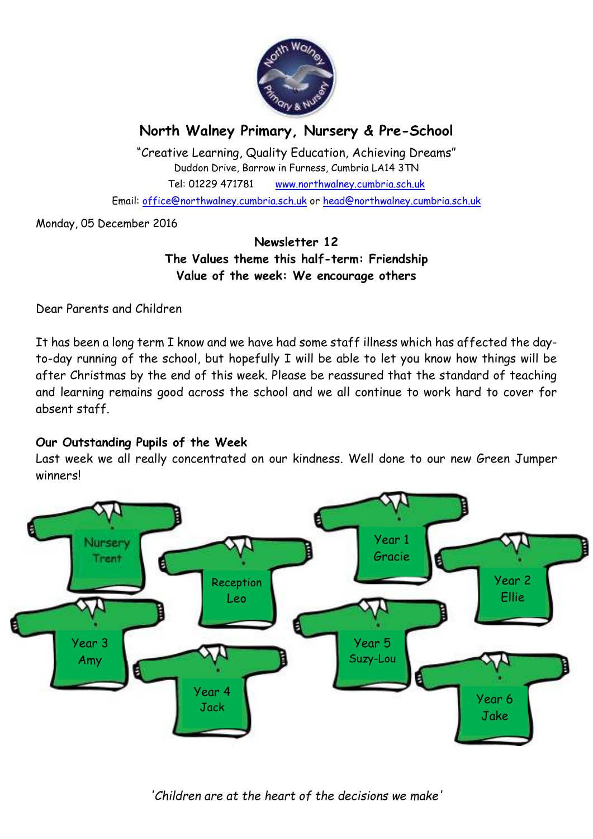

# **North Walney Primary, Nursery & Pre-School**

"Creative Learning, Quality Education, Achieving Dreams" Duddon Drive, Barrow in Furness, Cumbria LA14 3TN Tel: 01229 471781 www.northwalney.cumbria.sch.uk Email: office@northwalney.cumbria.sch.uk or head@northwalney.cumbria.sch.uk

Monday, 05 December 2016

# **Newsletter 12 The Values theme this half-term: Friendship Value of the week: We encourage others**

Dear Parents and Children

It has been a long term I know and we have had some staff illness which has affected the dayto-day running of the school, but hopefully I will be able to let you know how things will be after Christmas by the end of this week. Please be reassured that the standard of teaching and learning remains good across the school and we all continue to work hard to cover for absent staff.

# **Our Outstanding Pupils of the Week**

Last week we all really concentrated on our kindness. Well done to our new Green Jumper winners!



*'Children are at the heart of the decisions we make'*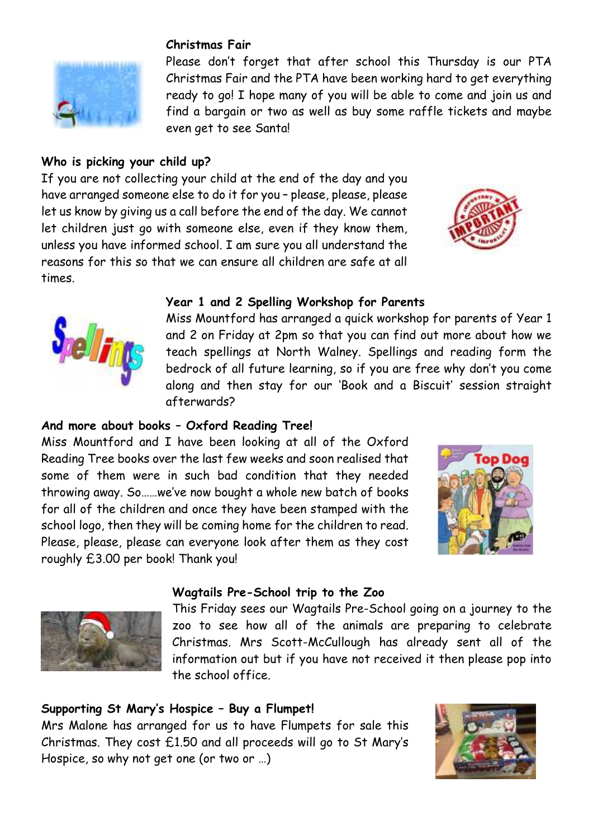# **Christmas Fair**

Please don't forget that after school this Thursday is our PTA Christmas Fair and the PTA have been working hard to get everything ready to go! I hope many of you will be able to come and join us and find a bargain or two as well as buy some raffle tickets and maybe even get to see Santa!

# **Who is picking your child up?**

If you are not collecting your child at the end of the day and you have arranged someone else to do it for you – please, please, please let us know by giving us a call before the end of the day. We cannot let children just go with someone else, even if they know them, unless you have informed school. I am sure you all understand the reasons for this so that we can ensure all children are safe at all times.





#### **Year 1 and 2 Spelling Workshop for Parents**

Miss Mountford has arranged a quick workshop for parents of Year 1 and 2 on Friday at 2pm so that you can find out more about how we teach spellings at North Walney. Spellings and reading form the bedrock of all future learning, so if you are free why don't you come along and then stay for our 'Book and a Biscuit' session straight afterwards?

#### **And more about books – Oxford Reading Tree!**

Miss Mountford and I have been looking at all of the Oxford Reading Tree books over the last few weeks and soon realised that some of them were in such bad condition that they needed throwing away. So……we've now bought a whole new batch of books for all of the children and once they have been stamped with the school logo, then they will be coming home for the children to read. Please, please, please can everyone look after them as they cost roughly £3.00 per book! Thank you!





### **Wagtails Pre-School trip to the Zoo**

This Friday sees our Wagtails Pre-School going on a journey to the zoo to see how all of the animals are preparing to celebrate Christmas. Mrs Scott-McCullough has already sent all of the information out but if you have not received it then please pop into the school office.

### **Supporting St Mary's Hospice – Buy a Flumpet!**

Mrs Malone has arranged for us to have Flumpets for sale this Christmas. They cost £1.50 and all proceeds will go to St Mary's Hospice, so why not get one (or two or …)